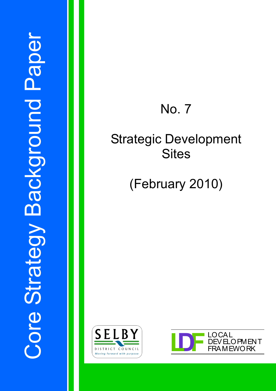# No. 7

## Strategic Development **Sites**

## (February 2010)



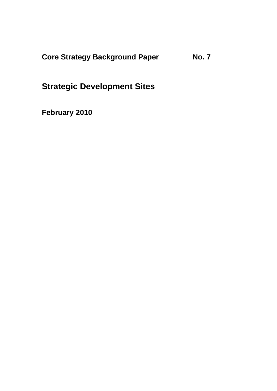**Core Strategy Background Paper No. 7** 

**Strategic Development Sites** 

**February 2010**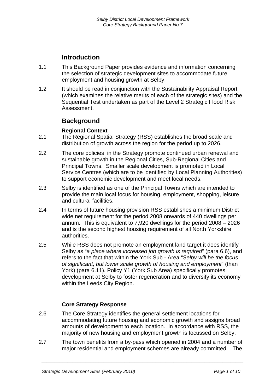## **Introduction**

- 1.1 This Background Paper provides evidence and information concerning the selection of strategic development sites to accommodate future employment and housing growth at Selby.
- 1.2 It should be read in conjunction with the Sustainability Appraisal Report (which examines the relative merits of each of the strategic sites) and the Sequential Test undertaken as part of the Level 2 Strategic Flood Risk Assessment.

## **Background**

### **Regional Context**

- 2.1 The Regional Spatial Strategy (RSS) establishes the broad scale and distribution of growth across the region for the period up to 2026.
- 2.2 The core policies in the Strategy promote continued urban renewal and sustainable growth in the Regional Cities, Sub-Regional Cities and Principal Towns. Smaller scale development is promoted in Local Service Centres (which are to be identified by Local Planning Authorities) to support economic development and meet local needs.
- 2.3 Selby is identified as one of the Principal Towns which are intended to provide the main local focus for housing, employment, shopping, leisure and cultural facilities.
- 2.4 In terms of future housing provision RSS establishes a minimum District wide net requirement for the period 2008 onwards of 440 dwellings per annum. This is equivalent to 7,920 dwellings for the period 2008 – 2026 and is the second highest housing requirement of all North Yorkshire authorities.
- 2.5 While RSS does not promote an employment land target it does identify Selby as "*a place where increased job growth is required*" (para 6.6), and refers to the fact that within the York Sub - Area "*Selby will be the focus of significant, but lower scale growth of housing and employment*" (than York) (para 6.11). Policy Y1 (York Sub Area) specifically promotes development at Selby to foster regeneration and to diversify its economy within the Leeds City Region.

#### **Core Strategy Response**

- 2.6 The Core Strategy identifies the general settlement locations for accommodating future housing and economic growth and assigns broad amounts of development to each location. In accordance with RSS, the majority of new housing and employment growth is focussed on Selby.
- 2.7 The town benefits from a by-pass which opened in 2004 and a number of major residential and employment schemes are already committed. The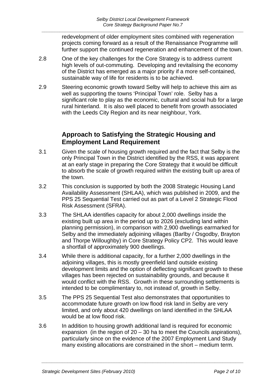redevelopment of older employment sites combined with regeneration projects coming forward as a result of the Renaissance Programme will further support the continued regeneration and enhancement of the town.

- 2.8 One of the key challenges for the Core Strategy is to address current high levels of out-commuting. Developing and revitalising the economy of the District has emerged as a major priority if a more self-contained, sustainable way of life for residents is to be achieved.
- 2.9 Steering economic growth toward Selby will help to achieve this aim as well as supporting the towns 'Principal Town' role. Selby has a significant role to play as the economic, cultural and social hub for a large rural hinterland. It is also well placed to benefit from growth associated with the Leeds City Region and its near neighbour, York.

## **Approach to Satisfying the Strategic Housing and Employment Land Requirement**

- 3.1 Given the scale of housing growth required and the fact that Selby is the only Principal Town in the District identified by the RSS, it was apparent at an early stage in preparing the Core Strategy that it would be difficult to absorb the scale of growth required within the existing built up area of the town.
- 3.2 This conclusion is supported by both the 2008 Strategic Housing Land Availability Assessment (SHLAA), which was published in 2009, and the PPS 25 Sequential Test carried out as part of a Level 2 Strategic Flood Risk Assessment (SFRA).
- 3.3 The SHLAA identifies capacity for about 2,000 dwellings inside the existing built up area in the period up to 2026 (excluding land within planning permission), in comparison with 2,900 dwellings earmarked for Selby and the immediately adjoining villages (Barlby / Osgodby, Brayton and Thorpe Willoughby) in Core Strategy Policy CP2. This would leave a shortfall of approximately 900 dwellings.
- 3.4 While there is additional capacity, for a further 2,000 dwellings in the adjoining villages, this is mostly greenfield land outside existing development limits and the option of deflecting significant growth to these villages has been rejected on sustainability grounds, and because it would conflict with the RSS. Growth in these surrounding settlements is intended to be complimentary to, not instead of, growth in Selby.
- 3.5 The PPS 25 Sequential Test also demonstrates that opportunities to accommodate future growth on low flood risk land in Selby are very limited, and only about 420 dwellings on land identified in the SHLAA would be at low flood risk.
- 3.6 In addition to housing growth additional land is required for economic expansion (in the region of  $20 - 30$  ha to meet the Councils aspirations), particularly since on the evidence of the 2007 Employment Land Study many existing allocations are constrained in the short – medium term.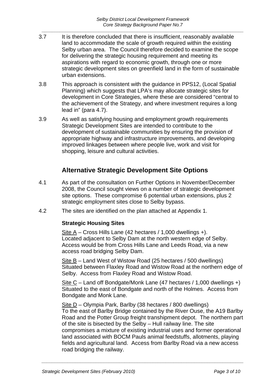- 3.7 It is therefore concluded that there is insufficient, reasonably available land to accommodate the scale of growth required within the existing Selby urban area. The Council therefore decided to examine the scope for delivering the strategic housing requirement and meeting its aspirations with regard to economic growth, through one or more strategic development sites on greenfield land in the form of sustainable urban extensions.
- 3.8 This approach is consistent with the guidance in PPS12, (Local Spatial Planning) which suggests that LPA's may allocate strategic sites for development in Core Strategies, where these are considered "central to the achievement of the Strategy, and where investment requires a long lead in" (para 4.7).
- 3.9 As well as satisfying housing and employment growth requirements Strategic Development Sites are intended to contribute to the development of sustainable communities by ensuring the provision of appropriate highway and infrastructure improvements, and developing improved linkages between where people live, work and visit for shopping, leisure and cultural activities.

## **Alternative Strategic Development Site Options**

- 4.1 As part of the consultation on Further Options in November/December 2008, the Council sought views on a number of strategic development site options. These compromise 6 potential urban extensions, plus 2 strategic employment sites close to Selby bypass.
- 4.2 The sites are identified on the plan attached at Appendix 1.

#### **Strategic Housing Sites**

Site A – Cross Hills Lane (42 hectares / 1,000 dwellings +). Located adjacent to Selby Dam at the north western edge of Selby. Access would be from Cross Hills Lane and Leeds Road, via a new access road bridging Selby Dam.

Site B – Land West of Wistow Road (25 hectares / 500 dwellings) Situated between Flaxley Road and Wistow Road at the northern edge of Selby. Access from Flaxley Road and Wistow Road.

Site C – Land off Bondgate/Monk Lane (47 hectares / 1,000 dwellings +) Situated to the east of Bondgate and north of the Holmes. Access from Bondgate and Monk Lane.

Site D - Olympia Park, Barlby (38 hectares / 800 dwellings) To the east of Barlby Bridge contained by the River Ouse, the A19 Barlby Road and the Potter Group freight transhipment depot. The northern part of the site is bisected by the Selby – Hull railway line. The site compromises a mixture of existing industrial uses and former operational land associated with BOCM Pauls animal feedstuffs, allotments, playing fields and agricultural land. Access from Barlby Road via a new access road bridging the railway.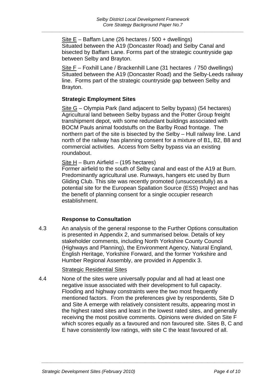Site E – Baffam Lane (26 hectares / 500 + dwellings) Situated between the A19 (Doncaster Road) and Selby Canal and bisected by Baffam Lane. Forms part of the strategic countryside gap between Selby and Brayton.

Site F – Foxhill Lane / Brackenhill Lane (31 hectares / 750 dwellings) Situated between the A19 (Doncaster Road) and the Selby-Leeds railway line. Forms part of the strategic countryside gap between Selby and Brayton.

#### **Strategic Employment Sites**

Site G – Olympia Park (land adjacent to Selby bypass) (54 hectares) Agricultural land between Selby bypass and the Potter Group freight transhipment depot, with some redundant buildings associated with BOCM Pauls animal foodstuffs on the Barlby Road frontage. The northern part of the site is bisected by the Selby – Hull railway line. Land north of the railway has planning consent for a mixture of B1, B2, B8 and commercial activities. Access from Selby bypass via an existing roundabout.

#### Site H – Burn Airfield – (195 hectares)

Former airfield to the south of Selby canal and east of the A19 at Burn. Predominantly agricultural use. Runways, hangers etc used by Burn Gliding Club. This site was recently promoted (unsuccessfully) as a potential site for the European Spallation Source (ESS) Project and has the benefit of planning consent for a single occupier research establishment.

#### **Response to Consultation**

4.3 An analysis of the general response to the Further Options consultation is presented in Appendix 2, and summarised below. Details of key stakeholder comments, including North Yorkshire County Council (Highways and Planning), the Environment Agency, Natural England, English Heritage, Yorkshire Forward, and the former Yorkshire and Humber Regional Assembly, are provided in Appendix 3.

#### Strategic Residential Sites

4.4 None of the sites were universally popular and all had at least one negative issue associated with their development to full capacity. Flooding and highway constraints were the two most frequently mentioned factors. From the preferences give by respondents, Site D and Site A emerge with relatively consistent results, appearing most in the highest rated sites and least in the lowest rated sites, and generally receiving the most positive comments. Opinions were divided on Site F which scores equally as a favoured and non favoured site. Sites B, C and E have consistently low ratings, with site C the least favoured of all.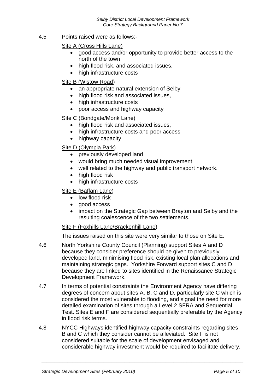4.5 Points raised were as follows:-

#### Site A (Cross Hills Lane)

- good access and/or opportunity to provide better access to the north of the town
- high flood risk, and associated issues,
- high infrastructure costs

#### Site B (Wistow Road)

- an appropriate natural extension of Selby
- high flood risk and associated issues,
- high infrastructure costs
- poor access and highway capacity

#### Site C (Bondgate/Monk Lane)

- high flood risk and associated issues,
- high infrastructure costs and poor access
- highway capacity

#### Site D (Olympia Park)

- previously developed land
- would bring much needed visual improvement
- well related to the highway and public transport network.
- high flood risk
- high infrastructure costs

#### Site E (Baffam Lane)

- low flood risk
- good access
- impact on the Strategic Gap between Brayton and Selby and the resulting coalescence of the two settlements.

#### Site F (Foxhills Lane/Brackenhill Lane)

The issues raised on this site were very similar to those on Site E.

- 4.6 North Yorkshire County Council (Planning) support Sites A and D because they consider preference should be given to previously developed land, minimising flood risk, existing local plan allocations and maintaining strategic gaps. Yorkshire Forward support sites C and D because they are linked to sites identified in the Renaissance Strategic Development Framework.
- 4.7 In terms of potential constraints the Environment Agency have differing degrees of concern about sites A, B, C and D, particularly site C which is considered the most vulnerable to flooding, and signal the need for more detailed examination of sites through a Level 2 SFRA and Sequential Test. Sites E and F are considered sequentially preferable by the Agency in flood risk terms.
- 4.8 NYCC Highways identified highway capacity constraints regarding sites B and C which they consider cannot be alleviated. Site F is not considered suitable for the scale of development envisaged and considerable highway investment would be required to facilitate delivery.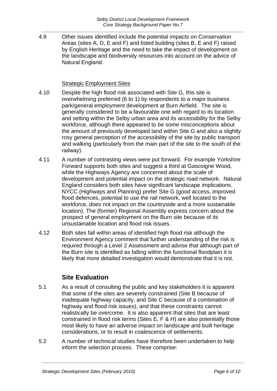4.9 Other issues identified include the potential impacts on Conservation Areas (sites A, D, E and F) and listed building (sites B, E and F) raised by English Heritage and the need to take the impact of development on the landscape and biodiversity resources into account on the advice of Natural England.

#### Strategic Employment Sites

- 4.10 Despite the high flood risk associated with Site G, this site is overwhelming preferred (6 to 1) by respondents to a major business park/general employment development at Burn Airfield. The site is generally considered to be a favourable one with regard to its location and setting within the Selby urban area and its accessibility for the Selby workforce, although there appeared to be some misconceptions about the amount of previously developed land within Site G and also a slightly rosy general perception of the accessibility of the site by public transport and walking (particularly from the main part of the site to the south of the railway).
- 4.11 A number of contrasting views were put forward. For example Yorkshire Forward supports both sites and suggest a third at Gascoigne Wood, while the Highways Agency are concerned about the scale of development and potential impact on the strategic road network. Natural England considers both sites have significant landscape implications. NYCC (Highways and Planning) prefer Site G (good access, improved flood defences, potential to use the rail network, well located to the workforce, does not impact on the countryside and a more sustainable location). The (former) Regional Assembly express concern about the prospect of general employment on the Burn site because of its unsustainable location and flood risk issues.
- 4.12 Both sites fall within areas of identified high flood risk although the Environment Agency comment that further understanding of the risk is required through a Level 2 Assessment and advise that although part of the Burn site is identified as falling within the functional floodplain it is likely that more detailed investigation would demonstrate that it is not.

## **Site Evaluation**

- 5.1 As a result of consulting the public and key stakeholders it is apparent that some of the sites are severely constrained (Site B because of inadequate highway capacity, and Site C because of a combination of highway and flood risk issues), and that these constraints cannot realistically be overcome. It is also apparent that sites that are least constrained in flood risk terms (Sites E, F & H) are also potentially those most likely to have an adverse impact on landscape and built heritage considerations, or to result in coalescence of settlements.
- 5.2 A number of technical studies have therefore been undertaken to help inform the selection process. These comprise: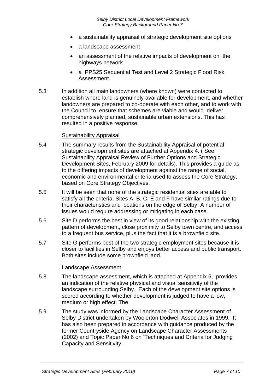- a sustainability appraisal of strategic development site options
- a landscape assessment
- an assessment of the relative impacts of development on the highways network
- a PPS25 Sequential Test and Level 2 Strategic Flood Risk Assessment.
- 5.3 In addition all main landowners (where known) were contacted to establish where land is genuinely available for development, and whether landowners are prepared to co-operate with each other, and to work with the Council to ensure that schemes are viable and would deliver comprehensively planned, sustainable urban extensions. This has resulted in a positive response.

#### Sustainability Appraisal

- 5.4 The summary results from the Sustainability Appraisal of potential strategic development sites are attached at Appendix 4. ( See Sustainability Appraisal Review of Further Options and Strategic Development Sites, February 2009 for details). This provides a guide as to the differing impacts of development against the range of social, economic and environmental criteria used to assess the Core Strategy, based on Core Strategy Objectives.
- 5.5 It will be seen that none of the strategic residential sites are able to satisfy all the criteria. Sites A, B, C, E and F have similar ratings due to their characteristics and locations on the edge of Selby. A number of issues would require addressing or mitigating in each case.
- 5.6 Site D performs the best in view of its good relationship with the existing pattern of development, close proximity to Selby town centre, and access to a frequent bus service, plus the fact that it is a brownfield site.
- 5.7 Site G performs best of the two strategic employment sites because it is closer to facilities in Selby and enjoys better access and public transport. Both sites include some brownfield land.

#### Landscape Assessment

- 5.8 The landscape assessment, which is attached at Appendix 5, provides an indication of the relative physical and visual sensitivity of the landscape surrounding Selby. Each of the development site options is scored according to whether development is judged to have a low, medium or high effect. The
- 5.9 The study was informed by the Landscape Character Assessment of Selby District undertaken by Woolerton Dodwell Associates in 1999. It has also been prepared in accordance with guidance produced by the former Countryside Agency on Landscape Character Assessments (2002) and Topic Paper No 6 on 'Techniques and Criteria for Judging Capacity and Sensitivity.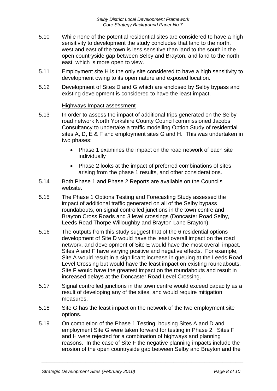- 5.10 While none of the potential residential sites are considered to have a high sensitivity to development the study concludes that land to the north, west and east of the town is less sensitive than land to the south in the open countryside gap between Selby and Brayton, and land to the north east, which is more open to view.
- 5.11 Employment site H is the only site considered to have a high sensitivity to development owing to its open nature and exposed location.
- 5.12 Development of Sites D and G which are enclosed by Selby bypass and existing development is considered to have the least impact.

#### Highways Impact assessment

- 5.13 In order to assess the impact of additional trips generated on the Selby road network North Yorkshire County Council commissioned Jacobs Consultancy to undertake a traffic modelling Option Study of residential sites A, D, E & F and employment sites G and H. This was undertaken in two phases:
	- Phase 1 examines the impact on the road network of each site individually
	- Phase 2 looks at the impact of preferred combinations of sites arising from the phase 1 results, and other considerations.
- 5.14 Both Phase 1 and Phase 2 Reports are available on the Councils website.
- 5.15 The Phase 1 Options Testing and Forecasting Study assessed the impact of additional traffic generated on all of the Selby bypass roundabouts, on signal controlled junctions in the town centre and Brayton Cross Roads and 3 level crossings (Doncaster Road Selby, Leeds Road Thorpe Willoughby and Brayton Lane Brayton).
- 5.16 The outputs from this study suggest that of the 6 residential options development of Site D would have the least overall impact on the road network, and development of Site E would have the most overall impact. Sites A and F have varying positive and negative effects. For example, Site A would result in a significant increase in queuing at the Leeds Road Level Crossing but would have the least impact on existing roundabouts. Site F would have the greatest impact on the roundabouts and result in increased delays at the Doncaster Road Level Crossing.
- 5.17 Signal controlled junctions in the town centre would exceed capacity as a result of developing any of the sites, and would require mitigation measures.
- 5.18 Site G has the least impact on the network of the two employment site options.
- 5.19 On completion of the Phase 1 Testing, housing Sites A and D and employment Site G were taken forward for testing in Phase 2. Sites F and H were rejected for a combination of highways and planning reasons. In the case of Site F the negative planning impacts include the erosion of the open countryside gap between Selby and Brayton and the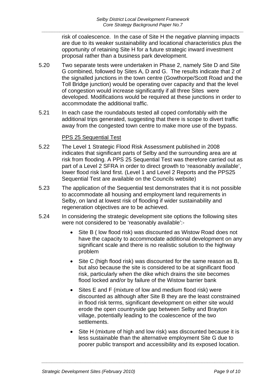risk of coalescence. In the case of Site H the negative planning impacts are due to its weaker sustainability and locational characteristics plus the opportunity of retaining Site H for a future strategic inward investment proposal rather than a business park development.

- 5.20 Two separate tests were undertaken in Phase 2, namely Site D and Site G combined, followed by Sites A, D and G. The results indicate that 2 of the signalled junctions in the town centre (Gowthorpe/Scott Road and the Toll Bridge junction) would be operating over capacity and that the level of congestion would increase significantly if all three Sites were developed. Modifications would be required at these junctions in order to accommodate the additional traffic.
- 5.21 In each case the roundabouts tested all coped comfortably with the additional trips generated, suggesting that there is scope to divert traffic away from the congested town centre to make more use of the bypass.

#### PPS 25 Sequential Test

- 5.22 The Level 1 Strategic Flood Risk Assessment published in 2008 indicates that significant parts of Selby and the surrounding area are at risk from flooding. A PPS 25 Sequential Test was therefore carried out as part of a Level 2 SFRA in order to direct growth to 'reasonably available', lower flood risk land first. (Level 1 and Level 2 Reports and the PPS25 Sequential Test are available on the Councils website)
- 5.23 The application of the Sequential test demonstrates that it is not possible to accommodate all housing and employment land requirements in Selby, on land at lowest risk of flooding if wider sustainability and regeneration objectives are to be achieved.
- 5.24 In considering the strategic development site options the following sites were not considered to be 'reasonably available':-
	- Site B (low flood risk) was discounted as Wistow Road does not have the capacity to accommodate additional development on any significant scale and there is no realistic solution to the highway problem
	- Site C (high flood risk) was discounted for the same reason as B, but also because the site is considered to be at significant flood risk, particularly when the dike which drains the site becomes flood locked and/or by failure of the Wistow barrier bank
	- Sites E and F (mixture of low and medium flood risk) were discounted as although after Site B they are the least constrained in flood risk terms, significant development on either site would erode the open countryside gap between Selby and Brayton village, potentially leading to the coalescence of the two settlements.
	- Site H (mixture of high and low risk) was discounted because it is less sustainable than the alternative employment Site G due to poorer public transport and accessibility and its exposed location.